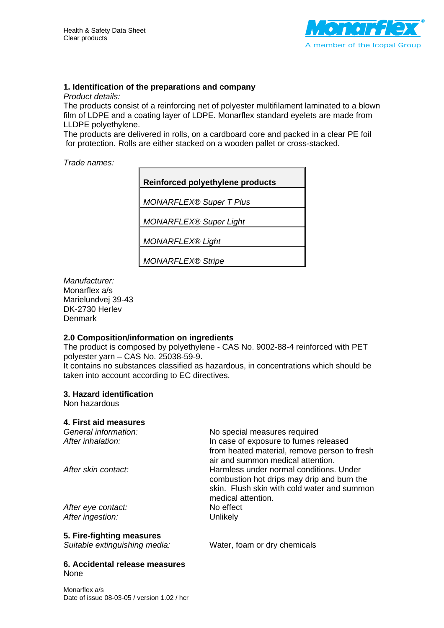

# **1. Identification of the preparations and company**

*Product details:* 

The products consist of a reinforcing net of polyester multifilament laminated to a blown film of LDPE and a coating layer of LDPE. Monarflex standard eyelets are made from LLDPE polyethylene.

The products are delivered in rolls, on a cardboard core and packed in a clear PE foil for protection. Rolls are either stacked on a wooden pallet or cross-stacked.

#### *Trade names:*

**Reinforced polyethylene products**  *MONARFLEX® Super T Plus MONARFLEX® Super Light MONARFLEX® Light MONARFLEX® Stripe* 

*Manufacturer:*  Monarflex a/s Marielundvej 39-43 DK-2730 Herlev Denmark

#### **2.0 Composition/information on ingredients**

The product is composed by polyethylene - CAS No. 9002-88-4 reinforced with PET polyester yarn – CAS No. 25038-59-9. It contains no substances classified as hazardous, in concentrations which should be taken into account according to EC directives.

#### **3. Hazard identification**

Non hazardous

#### **4. First aid measures**

| No special measures required<br>In case of exposure to fumes released                                                                                      |
|------------------------------------------------------------------------------------------------------------------------------------------------------------|
| from heated material, remove person to fresh<br>air and summon medical attention.                                                                          |
| Harmless under normal conditions. Under<br>combustion hot drips may drip and burn the<br>skin. Flush skin with cold water and summon<br>medical attention. |
| No effect                                                                                                                                                  |
| Unlikely                                                                                                                                                   |
|                                                                                                                                                            |

# **5. Fire-fighting measures**

*Suitable extinguishing media:* Water, foam or dry chemicals

#### **6. Accidental release measures**  None

Monarflex a/s Date of issue 08-03-05 / version 1.02 / hcr